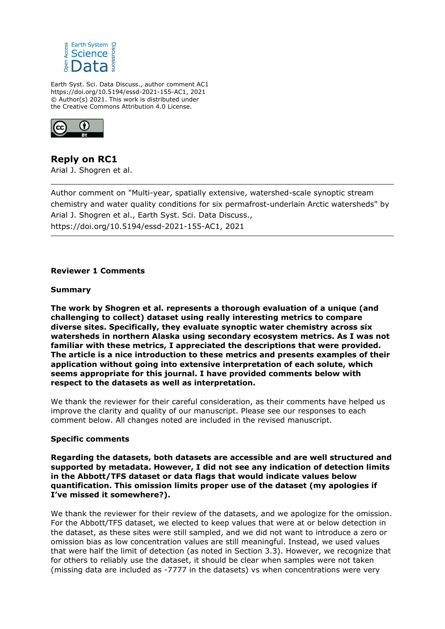

Earth Syst. Sci. Data Discuss., author comment AC1 https://doi.org/10.5194/essd-2021-155-AC1, 2021 © Author(s) 2021. This work is distributed under the Creative Commons Attribution 4.0 License.



**Reply on RC1** Arial J. Shogren et al.

Author comment on "Multi-year, spatially extensive, watershed-scale synoptic stream chemistry and water quality conditions for six permafrost-underlain Arctic watersheds" by Arial J. Shogren et al., Earth Syst. Sci. Data Discuss., https://doi.org/10.5194/essd-2021-155-AC1, 2021

#### **Reviewer 1 Comments**

## **Summary**

**The work by Shogren et al. represents a thorough evaluation of a unique (and challenging to collect) dataset using really interesting metrics to compare diverse sites. Specifically, they evaluate synoptic water chemistry across six watersheds in northern Alaska using secondary ecosystem metrics. As I was not familiar with these metrics, I appreciated the descriptions that were provided. The article is a nice introduction to these metrics and presents examples of their application without going into extensive interpretation of each solute, which seems appropriate for this journal. I have provided comments below with respect to the datasets as well as interpretation.**

We thank the reviewer for their careful consideration, as their comments have helped us improve the clarity and quality of our manuscript. Please see our responses to each comment below. All changes noted are included in the revised manuscript.

#### **Specific comments**

**Regarding the datasets, both datasets are accessible and are well structured and supported by metadata. However, I did not see any indication of detection limits in the Abbott/TFS dataset or data flags that would indicate values below quantification. This omission limits proper use of the dataset (my apologies if I've missed it somewhere?).**

We thank the reviewer for their review of the datasets, and we apologize for the omission. For the Abbott/TFS dataset, we elected to keep values that were at or below detection in the dataset, as these sites were still sampled, and we did not want to introduce a zero or omission bias as low concentration values are still meaningful. Instead, we used values that were half the limit of detection (as noted in Section 3.3). However, we recognize that for others to reliably use the dataset, it should be clear when samples were not taken (missing data are included as -7777 in the datasets) vs when concentrations were very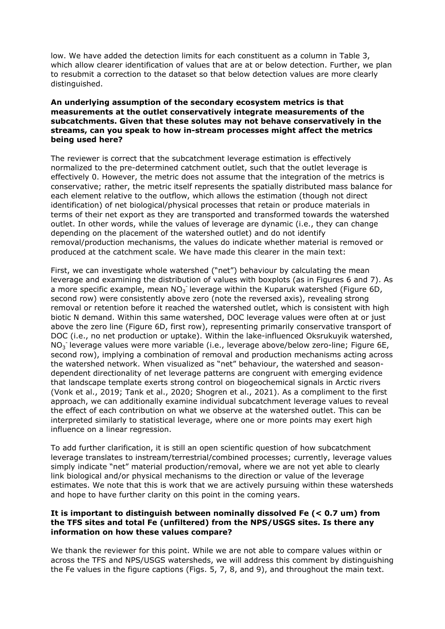low. We have added the detection limits for each constituent as a column in Table 3, which allow clearer identification of values that are at or below detection. Further, we plan to resubmit a correction to the dataset so that below detection values are more clearly distinguished.

#### **An underlying assumption of the secondary ecosystem metrics is that measurements at the outlet conservatively integrate measurements of the subcatchments. Given that these solutes may not behave conservatively in the streams, can you speak to how in-stream processes might affect the metrics being used here?**

The reviewer is correct that the subcatchment leverage estimation is effectively normalized to the pre-determined catchment outlet, such that the outlet leverage is effectively 0. However, the metric does not assume that the integration of the metrics is conservative; rather, the metric itself represents the spatially distributed mass balance for each element relative to the outflow, which allows the estimation (though not direct identification) of net biological/physical processes that retain or produce materials in terms of their net export as they are transported and transformed towards the watershed outlet. In other words, while the values of leverage are dynamic (i.e., they can change depending on the placement of the watershed outlet) and do not identify removal/production mechanisms, the values do indicate whether material is removed or produced at the catchment scale. We have made this clearer in the main text:

First, we can investigate whole watershed ("net") behaviour by calculating the mean leverage and examining the distribution of values with boxplots (as in Figures 6 and 7). As a more specific example, mean  $NO_3^-$  leverage within the Kuparuk watershed (Figure 6D, second row) were consistently above zero (note the reversed axis), revealing strong removal or retention before it reached the watershed outlet, which is consistent with high biotic N demand. Within this same watershed, DOC leverage values were often at or just above the zero line (Figure 6D, first row), representing primarily conservative transport of DOC (i.e., no net production or uptake). Within the lake-influenced Oksrukuyik watershed, NO<sub>3</sub> leverage values were more variable (i.e., leverage above/below zero-line; Figure 6E, second row), implying a combination of removal and production mechanisms acting across the watershed network. When visualized as "net" behaviour, the watershed and seasondependent directionality of net leverage patterns are congruent with emerging evidence that landscape template exerts strong control on biogeochemical signals in Arctic rivers (Vonk et al., 2019; Tank et al., 2020; Shogren et al., 2021). As a compliment to the first approach, we can additionally examine individual subcatchment leverage values to reveal the effect of each contribution on what we observe at the watershed outlet. This can be interpreted similarly to statistical leverage, where one or more points may exert high influence on a linear regression.

To add further clarification, it is still an open scientific question of how subcatchment leverage translates to instream/terrestrial/combined processes; currently, leverage values simply indicate "net" material production/removal, where we are not yet able to clearly link biological and/or physical mechanisms to the direction or value of the leverage estimates. We note that this is work that we are actively pursuing within these watersheds and hope to have further clarity on this point in the coming years.

### **It is important to distinguish between nominally dissolved Fe (< 0.7 um) from the TFS sites and total Fe (unfiltered) from the NPS/USGS sites. Is there any information on how these values compare?**

We thank the reviewer for this point. While we are not able to compare values within or across the TFS and NPS/USGS watersheds, we will address this comment by distinguishing the Fe values in the figure captions (Figs. 5, 7, 8, and 9), and throughout the main text.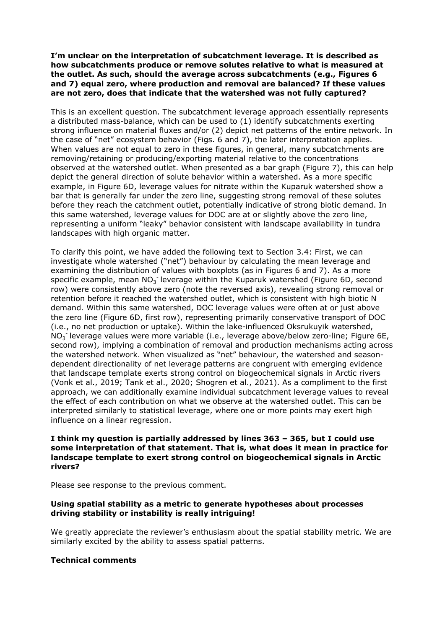**I'm unclear on the interpretation of subcatchment leverage. It is described as how subcatchments produce or remove solutes relative to what is measured at the outlet. As such, should the average across subcatchments (e.g., Figures 6 and 7) equal zero, where production and removal are balanced? If these values are not zero, does that indicate that the watershed was not fully captured?**

This is an excellent question. The subcatchment leverage approach essentially represents a distributed mass-balance, which can be used to (1) identify subcatchments exerting strong influence on material fluxes and/or (2) depict net patterns of the entire network. In the case of "net" ecosystem behavior (Figs. 6 and 7), the later interpretation applies. When values are not equal to zero in these figures, in general, many subcatchments are removing/retaining or producing/exporting material relative to the concentrations observed at the watershed outlet. When presented as a bar graph (Figure 7), this can help depict the general direction of solute behavior within a watershed. As a more specific example, in Figure 6D, leverage values for nitrate within the Kuparuk watershed show a bar that is generally far under the zero line, suggesting strong removal of these solutes before they reach the catchment outlet, potentially indicative of strong biotic demand. In this same watershed, leverage values for DOC are at or slightly above the zero line, representing a uniform "leaky" behavior consistent with landscape availability in tundra landscapes with high organic matter.

To clarify this point, we have added the following text to Section 3.4: First, we can investigate whole watershed ("net") behaviour by calculating the mean leverage and examining the distribution of values with boxplots (as in Figures 6 and 7). As a more specific example, mean  $NO_3^-$  leverage within the Kuparuk watershed (Figure 6D, second row) were consistently above zero (note the reversed axis), revealing strong removal or retention before it reached the watershed outlet, which is consistent with high biotic N demand. Within this same watershed, DOC leverage values were often at or just above the zero line (Figure 6D, first row), representing primarily conservative transport of DOC (i.e., no net production or uptake). Within the lake-influenced Oksrukuyik watershed,  $NO<sub>3</sub>$  leverage values were more variable (i.e., leverage above/below zero-line; Figure 6E, second row), implying a combination of removal and production mechanisms acting across the watershed network. When visualized as "net" behaviour, the watershed and seasondependent directionality of net leverage patterns are congruent with emerging evidence that landscape template exerts strong control on biogeochemical signals in Arctic rivers (Vonk et al., 2019; Tank et al., 2020; Shogren et al., 2021). As a compliment to the first approach, we can additionally examine individual subcatchment leverage values to reveal the effect of each contribution on what we observe at the watershed outlet. This can be interpreted similarly to statistical leverage, where one or more points may exert high influence on a linear regression.

### **I think my question is partially addressed by lines 363 – 365, but I could use some interpretation of that statement. That is, what does it mean in practice for landscape template to exert strong control on biogeochemical signals in Arctic rivers?**

Please see response to the previous comment.

#### **Using spatial stability as a metric to generate hypotheses about processes driving stability or instability is really intriguing!**

We greatly appreciate the reviewer's enthusiasm about the spatial stability metric. We are similarly excited by the ability to assess spatial patterns.

#### **Technical comments**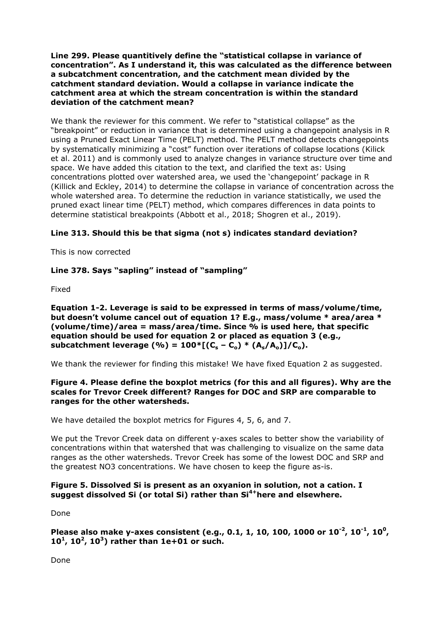**Line 299. Please quantitively define the "statistical collapse in variance of concentration". As I understand it, this was calculated as the difference between a subcatchment concentration, and the catchment mean divided by the catchment standard deviation. Would a collapse in variance indicate the catchment area at which the stream concentration is within the standard deviation of the catchment mean?**

We thank the reviewer for this comment. We refer to "statistical collapse" as the "breakpoint" or reduction in variance that is determined using a changepoint analysis in R using a Pruned Exact Linear Time (PELT) method. The PELT method detects changepoints by systematically minimizing a "cost" function over iterations of collapse locations (Kilick et al. 2011) and is commonly used to analyze changes in variance structure over time and space. We have added this citation to the text, and clarified the text as: Using concentrations plotted over watershed area, we used the 'changepoint' package in R (Killick and Eckley, 2014) to determine the collapse in variance of concentration across the whole watershed area. To determine the reduction in variance statistically, we used the pruned exact linear time (PELT) method, which compares differences in data points to determine statistical breakpoints (Abbott et al., 2018; Shogren et al., 2019).

# **Line 313. Should this be that sigma (not s) indicates standard deviation?**

This is now corrected

# **Line 378. Says "sapling" instead of "sampling"**

Fixed

**Equation 1-2. Leverage is said to be expressed in terms of mass/volume/time, but doesn't volume cancel out of equation 1? E.g., mass/volume \* area/area \* (volume/time)/area = mass/area/time. Since % is used here, that specific equation should be used for equation 2 or placed as equation 3 (e.g., subcatchment leverage (%) = 100\*[(C<sup>s</sup> – Co) \* (As/Ao)]/Co).**

We thank the reviewer for finding this mistake! We have fixed Equation 2 as suggested.

## **Figure 4. Please define the boxplot metrics (for this and all figures). Why are the scales for Trevor Creek different? Ranges for DOC and SRP are comparable to ranges for the other watersheds.**

We have detailed the boxplot metrics for Figures 4, 5, 6, and 7.

We put the Trevor Creek data on different y-axes scales to better show the variability of concentrations within that watershed that was challenging to visualize on the same data ranges as the other watersheds. Trevor Creek has some of the lowest DOC and SRP and the greatest NO3 concentrations. We have chosen to keep the figure as-is.

## **Figure 5. Dissolved Si is present as an oxyanion in solution, not a cation. I suggest dissolved Si (or total Si) rather than Si4+here and elsewhere.**

Done

**Please also make y-axes consistent (e.g., 0.1, 1, 10, 100, 1000 or 10-2, 10-1, 10<sup>0</sup> , 10<sup>1</sup> , 10<sup>2</sup> , 10<sup>3</sup> ) rather than 1e+01 or such.**

Done